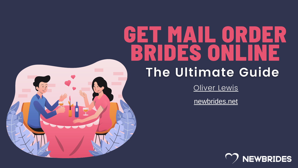# GET MAIL ORDER BRIDES ONLINE The Ultimate Guide [Oliver](https://newbrides.net/author/oliver-lewis/) Lewis



[newbrides.net](https://newbrides.net/)

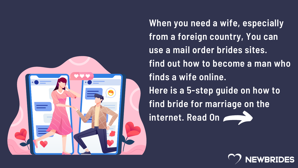

- **When you need a wife, especially from a foreign country, You can use a mail order brides sites.**
- **find out how to become a man who finds a wife online.**
- **Here is a 5-step guide on how to**
- **find bride for marriage on the**
- **internet. Read On**

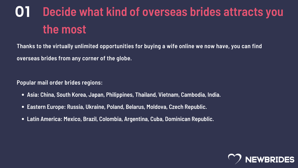# **01 Decide what kind of overseas brides attracts you the most**

- **Asia: China, South Korea, Japan, Philippines, Thailand, Vietnam, Cambodia, India.**
- **Eastern Europe: Russia, Ukraine, Poland, Belarus, Moldova, Czech Republic.**  $\bullet$
- **Latin America: Mexico, Brazil, Colombia, Argentina, Cuba, Dominican Republic.**



**Thanks to the virtually unlimited opportunities for buying a wife online we now have, you can find overseas brides from any corner of the globe.**

**Popular mail order brides regions:**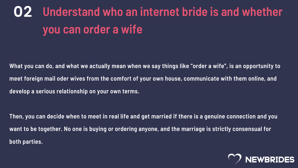# **02 Understand who an internet bride is and whether you can order a wife**

What you can do, and what we actually mean when we say things like "order a wife", is an opportunity to **meet foreign mail oder wives from the comfort of your own house, communicate with them online, and develop a serious relationship on your own terms.**

Then, you can decide when to meet in real life and get married if there is a genuine connection and you want to be together. No one is buying or ordering anyone, and the marriage is strictly consensual for **both parties.**

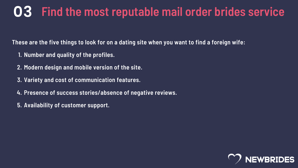#### **03 Find the most reputable mail order brides service**

These are the five things to look for on a dating site when you want to find a foreign wife:

- **Number and quality of the profiles. 1.**
- **Modern design and mobile version of the site. 2.**
- **Variety and cost of communication features. 3.**
- **Presence of success stories/absence of negative reviews. 4.**
- **Availability of customer support. 5.**

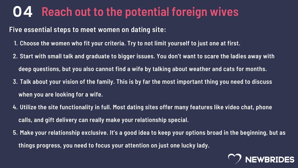#### **04 Reach out to the potential foreign wives**

- **Choose the women who fit your criteria. Try to not limit yourself to just one at first. 1.**
- 2. Start with small talk and graduate to bigger issues. You don't want to scare the ladies away with **deep questions, but you also cannot find a wife by talking about weather and cats for months.**
- 3. Talk about your vision of the family. This is by far the most important thing you need to discuss **when you are looking for a wife.**
- **Utilize the site functionality in full. Most dating sites offer many features like video chat, phone 4. calls, and gift delivery can really make your relationship special.**
- 5. Make your relationship exclusive. It's a good idea to keep your options broad in the beginning, but as **things progress, you need to focus your attention on just one lucky lady.**



**Five essential steps to meet women on dating site:**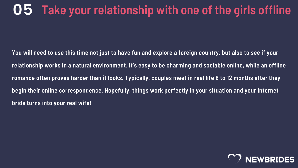You will need to use this time not just to have fun and explore a foreign country, but also to see if your relationship works in a natural environment. It's easy to be charming and sociable online, while an offline romance often proves harder than it looks. Typically, couples meet in real life 6 to 12 months after they **begin their online correspondence. Hopefully, things work perfectly in your situation and your internet bride turns into your real wife!**



# **05 Take your relationship with one of the girls offline**